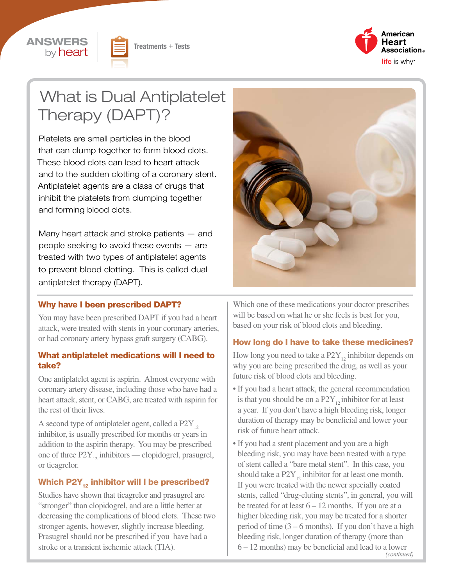





# What is Dual Antiplatelet Therapy (DAPT)?

Platelets are small particles in the blood that can clump together to form blood clots. These blood clots can lead to heart attack and to the sudden clotting of a coronary stent. Antiplatelet agents are a class of drugs that inhibit the platelets from clumping together and forming blood clots.

Many heart attack and stroke patients — and people seeking to avoid these events — are treated with two types of antiplatelet agents to prevent blood clotting. This is called dual antiplatelet therapy (DAPT).



#### Why have I been prescribed DAPT?

You may have been prescribed DAPT if you had a heart attack, were treated with stents in your coronary arteries, or had coronary artery bypass graft surgery (CABG).

#### What antiplatelet medications will I need to take?

One antiplatelet agent is aspirin. Almost everyone with coronary artery disease, including those who have had a heart attack, stent, or CABG, are treated with aspirin for the rest of their lives.

A second type of antiplatelet agent, called a  $P2Y_{12}$ inhibitor, is usually prescribed for months or years in addition to the aspirin therapy. You may be prescribed one of three  $P2Y_{12}$  inhibitors — clopidogrel, prasugrel, or ticagrelor.

#### Which P2Y<sub>12</sub> inhibitor will I be prescribed?

Studies have shown that ticagrelor and prasugrel are "stronger" than clopidogrel, and are a little better at decreasing the complications of blood clots. These two stronger agents, however, slightly increase bleeding. Prasugrel should not be prescribed if you have had a stroke or a transient ischemic attack (TIA).

Which one of these medications your doctor prescribes will be based on what he or she feels is best for you, based on your risk of blood clots and bleeding.

#### How long do I have to take these medicines?

How long you need to take a  $P2Y_{12}$  inhibitor depends on why you are being prescribed the drug, as well as your future risk of blood clots and bleeding.

- If you had a heart attack, the general recommendation is that you should be on a  $P2Y_{12}$  inhibitor for at least a year. If you don't have a high bleeding risk, longer duration of therapy may be beneficial and lower your risk of future heart attack.
- If you had a stent placement and you are a high bleeding risk, you may have been treated with a type of stent called a "bare metal stent". In this case, you should take a  $P2Y_{12}$  inhibitor for at least one month. If you were treated with the newer specially coated stents, called "drug-eluting stents", in general, you will be treated for at least  $6 - 12$  months. If you are at a higher bleeding risk, you may be treated for a shorter period of time  $(3 – 6$  months). If you don't have a high bleeding risk, longer duration of therapy (more than 6 – 12 months) may be beneficial and lead to a lower

*(continued)*